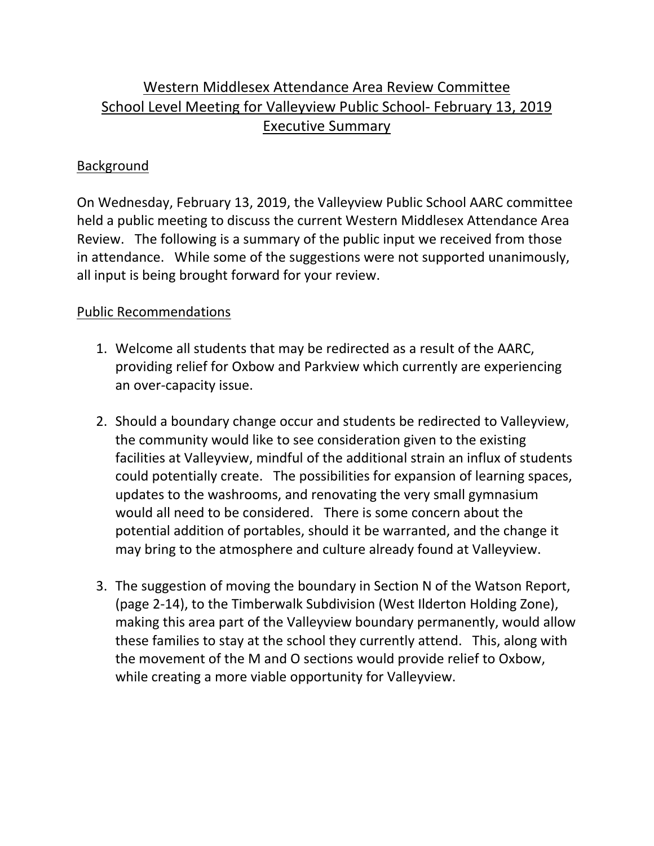## Western Middlesex Attendance Area Review Committee School Level Meeting for Valleyview Public School‐ February 13, 2019 Executive Summary

## Background

On Wednesday, February 13, 2019, the Valleyview Public School AARC committee held a public meeting to discuss the current Western Middlesex Attendance Area Review. The following is a summary of the public input we received from those in attendance. While some of the suggestions were not supported unanimously, all input is being brought forward for your review.

## Public Recommendations

- 1. Welcome all students that may be redirected as a result of the AARC, providing relief for Oxbow and Parkview which currently are experiencing an over‐capacity issue.
- 2. Should a boundary change occur and students be redirected to Valleyview, the community would like to see consideration given to the existing facilities at Valleyview, mindful of the additional strain an influx of students could potentially create. The possibilities for expansion of learning spaces, updates to the washrooms, and renovating the very small gymnasium would all need to be considered. There is some concern about the potential addition of portables, should it be warranted, and the change it may bring to the atmosphere and culture already found at Valleyview.
- 3. The suggestion of moving the boundary in Section N of the Watson Report, (page 2‐14), to the Timberwalk Subdivision (West Ilderton Holding Zone), making this area part of the Valleyview boundary permanently, would allow these families to stay at the school they currently attend. This, along with the movement of the M and O sections would provide relief to Oxbow, while creating a more viable opportunity for Valleyview.